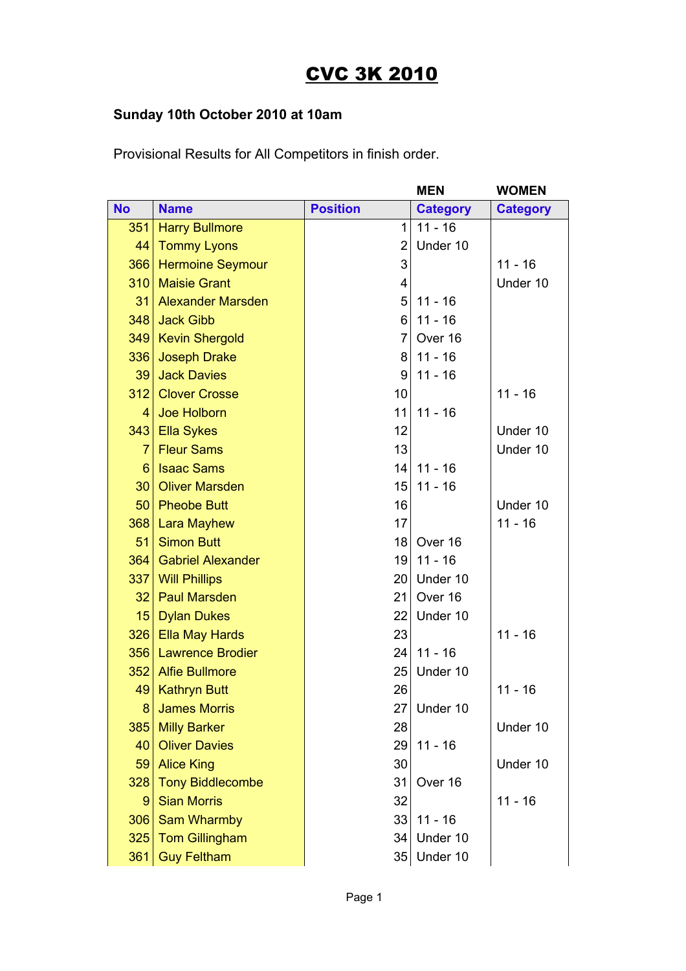## CVC 3K 2010

## **Sunday 10th October 2010 at 10am**

Provisional Results for All Competitors in finish order.

|           |                          |                 | <b>MEN</b>      | <b>WOMEN</b>    |
|-----------|--------------------------|-----------------|-----------------|-----------------|
| <b>No</b> | <b>Name</b>              | <b>Position</b> | <b>Category</b> | <b>Category</b> |
| 351       | <b>Harry Bullmore</b>    | 1               | $11 - 16$       |                 |
| 44        | <b>Tommy Lyons</b>       | $\overline{2}$  | Under 10        |                 |
| 366       | <b>Hermoine Seymour</b>  | 3               |                 | $11 - 16$       |
| 310       | <b>Maisie Grant</b>      | 4               |                 | Under 10        |
| 31        | <b>Alexander Marsden</b> | 5               | $11 - 16$       |                 |
| 348       | <b>Jack Gibb</b>         | 6               | $11 - 16$       |                 |
| 349       | <b>Kevin Shergold</b>    | $\overline{7}$  | Over 16         |                 |
| 336       | <b>Joseph Drake</b>      | 8               | $11 - 16$       |                 |
| 39        | <b>Jack Davies</b>       | 9               | $11 - 16$       |                 |
| 312       | <b>Clover Crosse</b>     | 10              |                 | $11 - 16$       |
| 4         | <b>Joe Holborn</b>       | 11              | $11 - 16$       |                 |
| 343       | <b>Ella Sykes</b>        | 12              |                 | Under 10        |
| 7         | <b>Fleur Sams</b>        | 13              |                 | Under 10        |
| 6         | <b>Isaac Sams</b>        | 14              | $11 - 16$       |                 |
| 30        | <b>Oliver Marsden</b>    | 15              | $11 - 16$       |                 |
| 50        | <b>Pheobe Butt</b>       | 16              |                 | Under 10        |
| 368       | <b>Lara Mayhew</b>       | 17              |                 | $11 - 16$       |
| 51        | <b>Simon Butt</b>        | 18              | Over 16         |                 |
| 364       | <b>Gabriel Alexander</b> | 19              | $11 - 16$       |                 |
| 337       | <b>Will Phillips</b>     | 20              | Under 10        |                 |
| 32        | <b>Paul Marsden</b>      | 21              | Over 16         |                 |
| 15        | <b>Dylan Dukes</b>       | 22              | Under 10        |                 |
| 326       | <b>Ella May Hards</b>    | 23              |                 | $11 - 16$       |
| 356       | <b>Lawrence Brodier</b>  | 24              | $11 - 16$       |                 |
| 352       | <b>Alfie Bullmore</b>    | 25              | Under 10        |                 |
| 49        | <b>Kathryn Butt</b>      | 26              |                 | $11 - 16$       |
| 8         | <b>James Morris</b>      | 27              | Under 10        |                 |
| 385       | <b>Milly Barker</b>      | 28              |                 | Under 10        |
| 40        | <b>Oliver Davies</b>     | 29              | $11 - 16$       |                 |
| 59        | <b>Alice King</b>        | 30              |                 | Under 10        |
| 328       | <b>Tony Biddlecombe</b>  | 31              | Over 16         |                 |
| 9         | <b>Sian Morris</b>       | 32              |                 | $11 - 16$       |
| 306       | <b>Sam Wharmby</b>       | 33              | $11 - 16$       |                 |
| 325       | <b>Tom Gillingham</b>    | 34              | Under 10        |                 |
| 361       | <b>Guy Feltham</b>       | 35              | Under 10        |                 |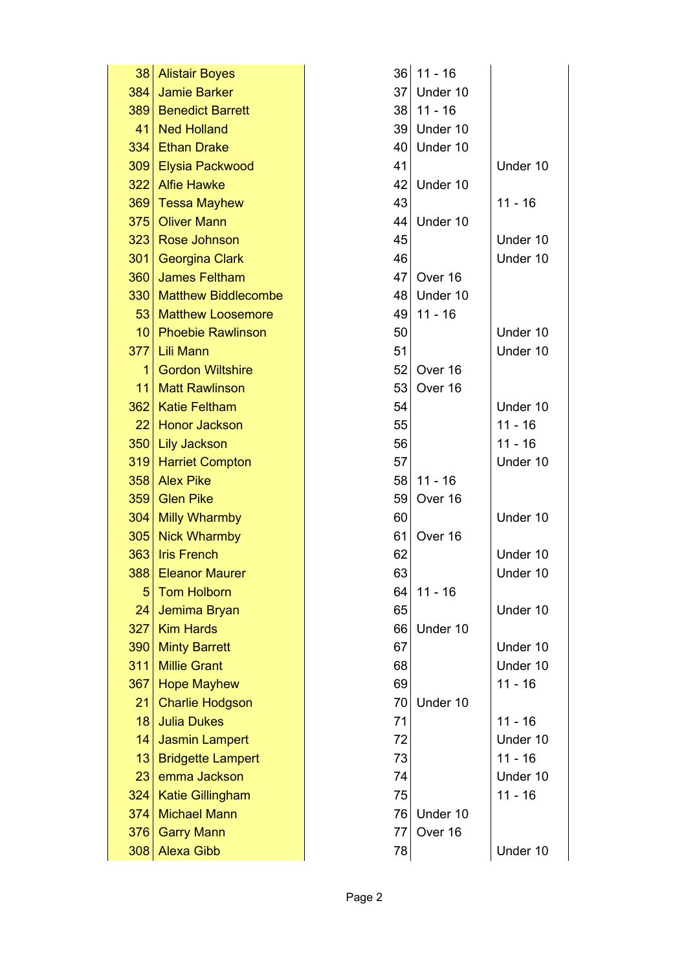| 38  | <b>Alistair Boyes</b>      | 36              | $11 - 16$ |           |
|-----|----------------------------|-----------------|-----------|-----------|
| 384 | <b>Jamie Barker</b>        | 37 <sup>2</sup> | Under 10  |           |
| 389 | <b>Benedict Barrett</b>    | 38              | $11 - 16$ |           |
| 41  | <b>Ned Holland</b>         | 39 <sub>1</sub> | Under 10  |           |
| 334 | <b>Ethan Drake</b>         | 40              | Under 10  |           |
| 309 | Elysia Packwood            | 41              |           | Under 10  |
| 322 | <b>Alfie Hawke</b>         | 42              | Under 10  |           |
| 369 | <b>Tessa Mayhew</b>        | 43              |           | $11 - 16$ |
| 375 | <b>Oliver Mann</b>         | 44              | Under 10  |           |
| 323 | Rose Johnson               | 45              |           | Under 10  |
| 301 | <b>Georgina Clark</b>      | 46              |           | Under 10  |
| 360 | <b>James Feltham</b>       | 47              | Over 16   |           |
| 330 | <b>Matthew Biddlecombe</b> | 48              | Under 10  |           |
| 53  | <b>Matthew Loosemore</b>   | 49              | $11 - 16$ |           |
| 10  | <b>Phoebie Rawlinson</b>   | 50              |           | Under 10  |
| 377 | <b>Lili Mann</b>           | 51              |           | Under 10  |
| 1   | <b>Gordon Wiltshire</b>    | 52              | Over 16   |           |
| 11  | <b>Matt Rawlinson</b>      | 53              | Over 16   |           |
| 362 | <b>Katie Feltham</b>       | 54              |           | Under 10  |
| 22  | <b>Honor Jackson</b>       | 55              |           | $11 - 16$ |
| 350 | <b>Lily Jackson</b>        | 56              |           | $11 - 16$ |
| 319 | <b>Harriet Compton</b>     | 57              |           | Under 10  |
| 358 | <b>Alex Pike</b>           | 58              | $11 - 16$ |           |
| 359 | <b>Glen Pike</b>           | 59              | Over 16   |           |
| 304 | <b>Milly Wharmby</b>       | 60              |           | Under 10  |
| 305 | <b>Nick Wharmby</b>        | 61              | Over 16   |           |
| 363 | <b>Iris French</b>         | 62              |           | Under 10  |
| 388 | <b>Eleanor Maurer</b>      | 63              |           | Under 10  |
| 5   | <b>Tom Holborn</b>         | 64              | $11 - 16$ |           |
| 24  | Jemima Bryan               | 65              |           | Under 10  |
| 327 | <b>Kim Hards</b>           | 66              | Under 10  |           |
| 390 | <b>Minty Barrett</b>       | 67              |           | Under 10  |
| 311 | <b>Millie Grant</b>        | 68              |           | Under 10  |
| 367 | <b>Hope Mayhew</b>         | 69              |           | $11 - 16$ |
| 21  | <b>Charlie Hodgson</b>     | 70              | Under 10  |           |
| 18  | <b>Julia Dukes</b>         | 71              |           | $11 - 16$ |
| 14  | <b>Jasmin Lampert</b>      | 72              |           | Under 10  |
| 13  | <b>Bridgette Lampert</b>   | 73              |           | $11 - 16$ |
| 23  | emma Jackson               | 74              |           | Under 10  |
| 324 | <b>Katie Gillingham</b>    | 75              |           | $11 - 16$ |
| 374 | <b>Michael Mann</b>        | 76              | Under 10  |           |
| 376 | <b>Garry Mann</b>          | 77              | Over 16   |           |
| 308 | <b>Alexa Gibb</b>          | 78              |           | Under 10  |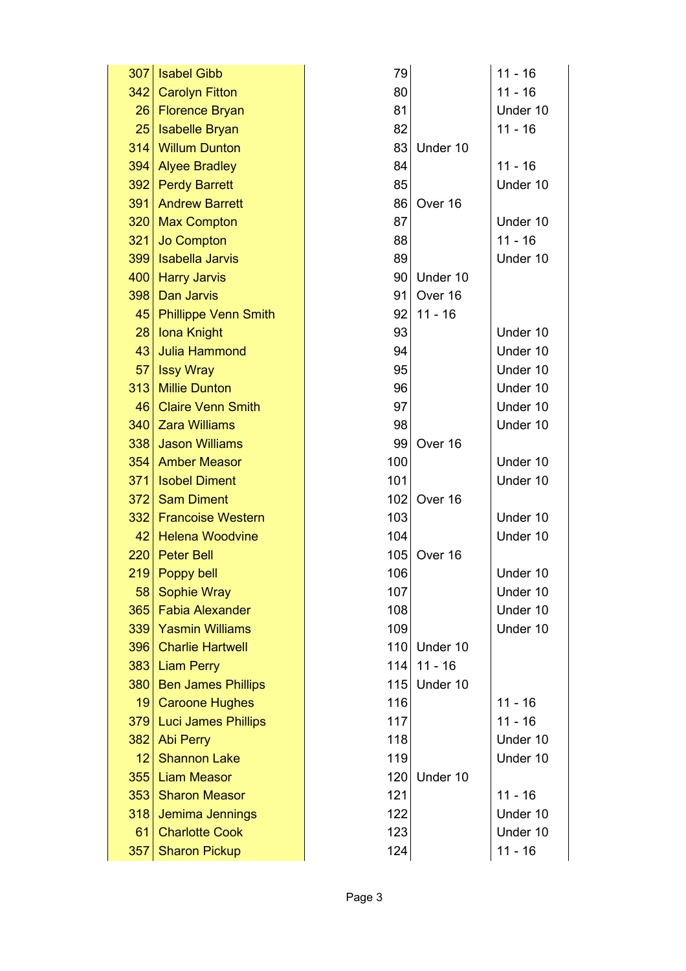| 307 | <b>Isabel Gibb</b>          | 79  |           | $11 - 16$ |
|-----|-----------------------------|-----|-----------|-----------|
| 342 | <b>Carolyn Fitton</b>       | 80  |           | $11 - 16$ |
| 26  | <b>Florence Bryan</b>       | 81  |           | Under 10  |
| 25  | <b>Isabelle Bryan</b>       | 82  |           | $11 - 16$ |
| 314 | <b>Willum Dunton</b>        | 83  | Under 10  |           |
| 394 | <b>Alyee Bradley</b>        | 84  |           | $11 - 16$ |
| 392 | <b>Perdy Barrett</b>        | 85  |           | Under 10  |
| 391 | <b>Andrew Barrett</b>       | 86  | Over 16   |           |
| 320 | <b>Max Compton</b>          | 87  |           | Under 10  |
| 321 | <b>Jo Compton</b>           | 88  |           | $11 - 16$ |
| 399 | <b>Isabella Jarvis</b>      | 89  |           | Under 10  |
| 400 | <b>Harry Jarvis</b>         | 90  | Under 10  |           |
| 398 | <b>Dan Jarvis</b>           | 91  | Over 16   |           |
| 45  | <b>Phillippe Venn Smith</b> | 92  | $11 - 16$ |           |
| 28  | <b>Iona Knight</b>          | 93  |           | Under 10  |
| 43  | <b>Julia Hammond</b>        | 94  |           | Under 10  |
| 57  | <b>Issy Wray</b>            | 95  |           | Under 10  |
| 313 | <b>Millie Dunton</b>        | 96  |           | Under 10  |
| 46  | <b>Claire Venn Smith</b>    | 97  |           | Under 10  |
| 340 | <b>Zara Williams</b>        | 98  |           | Under 10  |
| 338 | <b>Jason Williams</b>       | 99  | Over 16   |           |
| 354 | <b>Amber Measor</b>         | 100 |           | Under 10  |
| 371 | <b>Isobel Diment</b>        | 101 |           | Under 10  |
| 372 | <b>Sam Diment</b>           | 102 | Over 16   |           |
| 332 | <b>Francoise Western</b>    | 103 |           | Under 10  |
| 42  | <b>Helena Woodvine</b>      | 104 |           | Under 10  |
| 220 | <b>Peter Bell</b>           | 105 | Over 16   |           |
| 219 | Poppy bell                  | 106 |           | Under 10  |
| 58  | <b>Sophie Wray</b>          | 107 |           | Under 10  |
| 365 | <b>Fabia Alexander</b>      | 108 |           | Under 10  |
| 339 | <b>Yasmin Williams</b>      | 109 |           | Under 10  |
| 396 | <b>Charlie Hartwell</b>     | 110 | Under 10  |           |
| 383 | <b>Liam Perry</b>           | 114 | $11 - 16$ |           |
| 380 | <b>Ben James Phillips</b>   | 115 | Under 10  |           |
| 19  | <b>Caroone Hughes</b>       | 116 |           | $11 - 16$ |
| 379 | <b>Luci James Phillips</b>  | 117 |           | $11 - 16$ |
| 382 | <b>Abi Perry</b>            | 118 |           | Under 10  |
| 12  | <b>Shannon Lake</b>         | 119 |           | Under 10  |
| 355 | <b>Liam Measor</b>          | 120 | Under 10  |           |
| 353 | <b>Sharon Measor</b>        | 121 |           | $11 - 16$ |
| 318 | Jemima Jennings             | 122 |           | Under 10  |
| 61  | <b>Charlotte Cook</b>       | 123 |           | Under 10  |
| 357 | <b>Sharon Pickup</b>        | 124 |           | $11 - 16$ |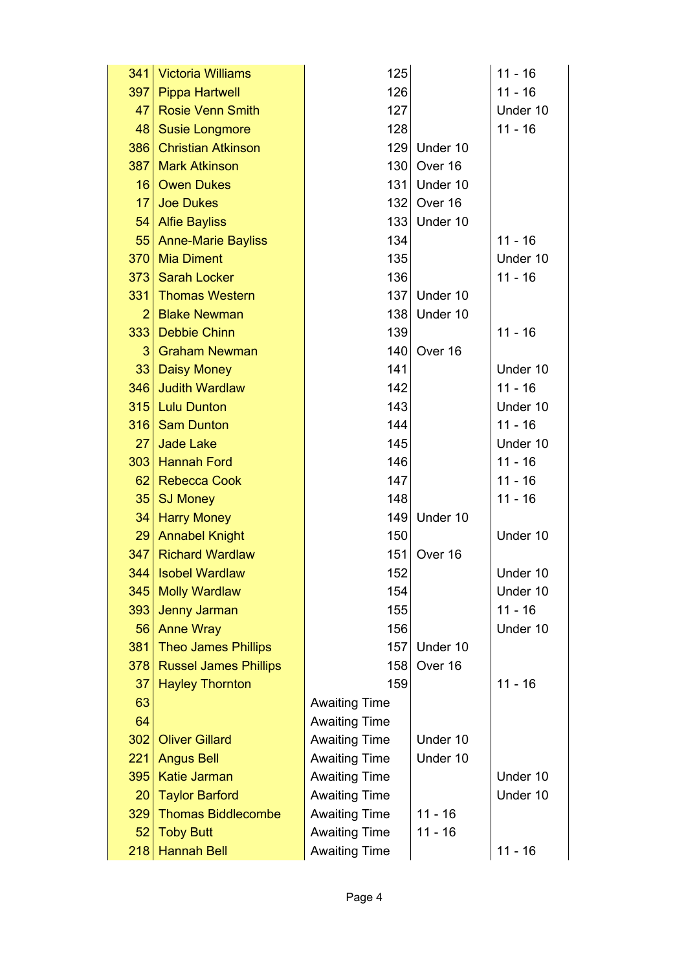|                | 341 Victoria Williams        | 125                  |              | $11 - 16$ |
|----------------|------------------------------|----------------------|--------------|-----------|
| 397            | <b>Pippa Hartwell</b>        | 126                  |              | $11 - 16$ |
| 47             | <b>Rosie Venn Smith</b>      | 127                  |              | Under 10  |
| 48             | <b>Susie Longmore</b>        | 128                  |              | $11 - 16$ |
| 386            | <b>Christian Atkinson</b>    | 129                  | Under 10     |           |
| 387            | <b>Mark Atkinson</b>         | 130                  | Over 16      |           |
| 16             | <b>Owen Dukes</b>            |                      | 131 Under 10 |           |
| 17             | <b>Joe Dukes</b>             | 132                  | Over 16      |           |
| 54             | <b>Alfie Bayliss</b>         | 133                  | Under 10     |           |
| 55             | <b>Anne-Marie Bayliss</b>    | 134                  |              | $11 - 16$ |
| 370            | <b>Mia Diment</b>            | 135                  |              | Under 10  |
|                | 373 Sarah Locker             | 136                  |              | $11 - 16$ |
| 331            | <b>Thomas Western</b>        | 137                  | Under 10     |           |
| $\overline{2}$ | <b>Blake Newman</b>          | 138                  | Under 10     |           |
| 333            | <b>Debbie Chinn</b>          | 139                  |              | $11 - 16$ |
| 3              | <b>Graham Newman</b>         | 140                  | Over 16      |           |
| 33             | <b>Daisy Money</b>           | 141                  |              | Under 10  |
| 346            | <b>Judith Wardlaw</b>        | 142                  |              | $11 - 16$ |
| 315            | <b>Lulu Dunton</b>           | 143                  |              | Under 10  |
| 316            | <b>Sam Dunton</b>            | 144                  |              | $11 - 16$ |
| 27             | <b>Jade Lake</b>             | 145                  |              | Under 10  |
| 303            | <b>Hannah Ford</b>           | 146                  |              | $11 - 16$ |
| 62             | <b>Rebecca Cook</b>          | 147                  |              | $11 - 16$ |
| 35             | <b>SJ Money</b>              | 148                  |              | $11 - 16$ |
| 34             | <b>Harry Money</b>           | 149                  | Under 10     |           |
| 29             | <b>Annabel Knight</b>        | 150                  |              | Under 10  |
| 347            | <b>Richard Wardlaw</b>       | 151                  | Over 16      |           |
| 344            | <b>Isobel Wardlaw</b>        | 152                  |              | Under 10  |
| 345            | <b>Molly Wardlaw</b>         | 154                  |              | Under 10  |
| 393            | Jenny Jarman                 | 155                  |              | $11 - 16$ |
| 56             | <b>Anne Wray</b>             | 156                  |              | Under 10  |
| 381            | <b>Theo James Phillips</b>   | 157                  | Under 10     |           |
| 378            | <b>Russel James Phillips</b> | 158                  | Over 16      |           |
| 37             | <b>Hayley Thornton</b>       | 159                  |              | $11 - 16$ |
| 63             |                              | <b>Awaiting Time</b> |              |           |
| 64             |                              | <b>Awaiting Time</b> |              |           |
| 302            | <b>Oliver Gillard</b>        | <b>Awaiting Time</b> | Under 10     |           |
| 221            | <b>Angus Bell</b>            | <b>Awaiting Time</b> | Under 10     |           |
| 395            | <b>Katie Jarman</b>          | <b>Awaiting Time</b> |              | Under 10  |
| 20             | <b>Taylor Barford</b>        | <b>Awaiting Time</b> |              | Under 10  |
| 329            | <b>Thomas Biddlecombe</b>    | <b>Awaiting Time</b> | $11 - 16$    |           |
| 52             | <b>Toby Butt</b>             | <b>Awaiting Time</b> | $11 - 16$    |           |
| 218            | <b>Hannah Bell</b>           | <b>Awaiting Time</b> |              | $11 - 16$ |